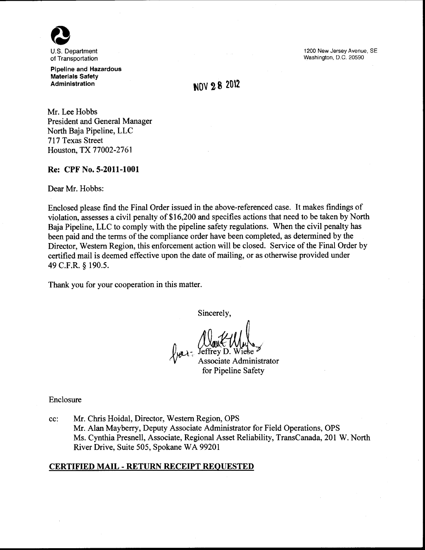

of Transportation Pipeline and Hazardous

Materials Safety Administration

1200 New Jersey Avenue, SE Washington, D.C. 20590

# **NOV 28 2012**

Mr. Lee Hobbs President and General Manager North Baja Pipeline, LLC 717 Texas Street Houston, TX 77002-2761

#### Re: CPF No. 5-2011-1001

Dear Mr. Hobbs:

Enclosed please find the Final Order issued in the above-referenced case. It makes findings of violation, assesses a civil penalty of \$16,200 and specifies actions that need to be taken by North Baja Pipeline, LLC to comply with the pipeline safety regulations. When the civil penalty has been paid and the terms of the compliance order have been completed, as determined by the Director, Western Region, this enforcement action will be closed. Service of the Final Order by certified mail is deemed effective upon the date of mailing, or as otherwise provided under 49 C.F.R. § 190.5.

Thank you for your cooperation in this matter.

Sincerely,

teffrey D. Wiese<sup>}</sup><br>Associate Administrator

for Pipeline Safety

Enclosure

cc: Mr. Chris Hoidal, Director, Western Region, OPS Mr. Alan Mayberry, Deputy Associate Administrator for Field Operations, OPS Ms. Cynthia Presnell, Associate, Regional Asset Reliability, TransCanada, 201 W. North River Drive, Suite 505, Spokane WA 99201

## CERTIFIED MAIL- RETURN RECEIPT REQUESTED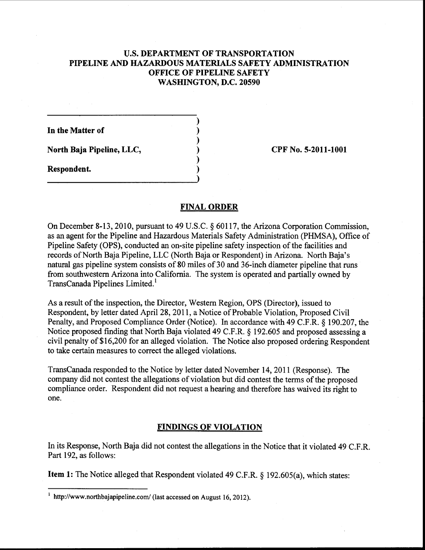# **U.S. DEPARTMENT OF TRANSPORTATION PIPELINE AND HAZARDOUS MATERIALS SAFETY ADMINISTRATION OFFICE OF PIPELINE SAFETY WASHINGTON, D.C. 20590**

) ) ) ) ) )

**In the Matter of** 

**North Baja Pipeline, LLC,** 

**Respondent.** 

**CPF No. 5-2011-1001** 

# **FINAL ORDER**

On December 8-13, 2010, pursuant to 49 U.S.C. § 60117, the Arizona Corporation Commission, as an agent for the Pipeline and Hazardous Materials Safety Administration (PHMSA), Office of Pipeline Safety (OPS), conducted an on-site pipeline safety inspection of the facilities and records of North Baja Pipeline, LLC (North Baja or Respondent) in Arizona. North Baja's natural gas pipeline system consists of 80 miles of 30 and 36-inch diameter pipeline that runs from southwestern Arizona into California. The system is operated and partially owned by TransCanada Pipelines Limited. <sup>1</sup>

As a result of the inspection, the Director, Western Region, OPS (Director), issued to Respondent, by letter dated April 28, 2011, a Notice of Probable Violation, Proposed Civil Penalty, and Proposed Compliance Order (Notice). In accordance with 49 C.P.R.§ 190.207, the Notice proposed finding that North Baja violated 49 C.P.R.§ 192.605 and proposed assessing a civil penalty of\$16,200 for an alleged violation. The Notice also proposed ordering Respondent to take certain measures to correct the alleged violations.

TransCanada responded to the Notice by letter dated November 14, 2011 (Response). The company did not contest the allegations of violation but did contest the terms of the proposed compliance order. Respondent did not request a hearing and therefore has waived its right to one.

# **FINDINGS OF VIOLATION**

In its Response, North Baja did not contest the allegations in the Notice that it violated 49 C.P.R. Part 192, as follows:

**Item 1:** The Notice alleged that Respondent violated 49 C.F.R. § 192.605(a), which states:

http://www.northbajapipeline.com/ (last accessed on August 16, 2012).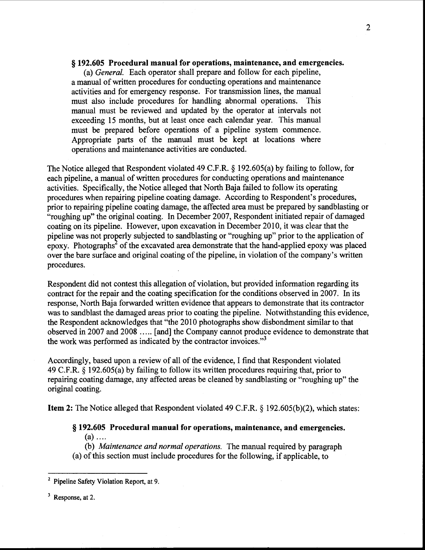## § **192.605 Procedural manual for operations, maintenance, and emergencies.**

(a) *General.* Each operator shall prepare and follow for each pipeline, a manual of written procedures for conducting operations and maintenance activities and for emergency response. For transmission lines, the manual must also include procedures for handling abnormal operations. This manual must be reviewed and updated by the operator at intervals not exceeding 15 months, but at least once each calendar year. This manual must be prepared before operations of a pipeline system commence. Appropriate parts of the manual must be kept at locations where operations and maintenance activities are conducted.

The Notice alleged that Respondent violated 49 C.F.R. § 192.605(a) by failing to follow, for each pipeline, a manual of written procedures for conducting operations and maintenance activities. Specifically, the Notice alleged that North Baja failed to follow its operating procedures when repairing pipeline coating damage. According to Respondent's procedures, prior to repairing pipeline coating damage, the affected area must be prepared by sandblasting or "roughing up" the original coating. In December 2007, Respondent initiated repair of damaged coating on its pipeline. However, upon excavation in December 2010, it was clear that the pipeline was not properly subjected to sandblasting or "roughing up" prior to the application of epoxy. Photographs<sup>2</sup> of the excavated area demonstrate that the hand-applied epoxy was placed over the bare surface and original coating of the pipeline, in violation of the company's written procedures.

Respondent did not contest this allegation of violation, but provided information regarding its contract for the repair and the coating specification for the conditions observed in 2007. In its response, North Baja forwarded written evidence that appears to demonstrate that its contractor was to sandblast the damaged areas prior to coating the pipeline. Notwithstanding this evidence, the Respondent acknowledges that "the 2010 photographs show disbandment similar to that observed in 2007 and 2008 ..... [and] the Company cannot produce evidence to demonstrate that the work was performed as indicated by the contractor invoices."<sup>3</sup>

Accordingly, based upon a review of all of the evidence, I find that Respondent violated 49 C.F.R. § 192.605(a) by failing to follow its written procedures requiring that, prior to repairing coating damage, any affected areas be cleaned by sandblasting or "roughing up" the original coating.

**Item 2:** The Notice alleged that Respondent violated 49 C.F.R. § 192.605(b)(2), which states:

#### § **192.605 Procedural manual for operations, maintenance, and emergencies.**   $(a)$  ....

(b) *Maintenance and normal operations.* The manual required by paragraph (a) of this section must include procedures for the following, if applicable, to

 $3$  Response, at 2.

<sup>&</sup>lt;sup>2</sup> Pipeline Safety Violation Report, at 9.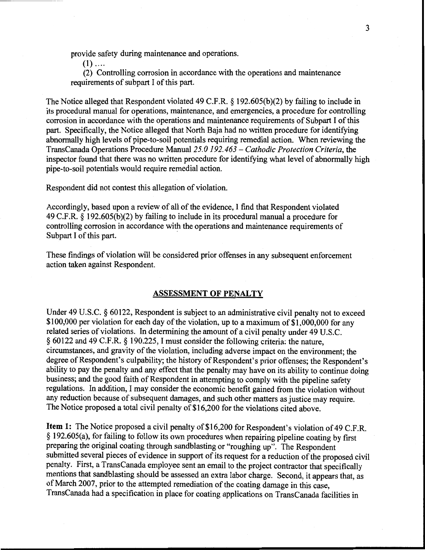provide safety during maintenance and operations.

 $(1)$  ....

(2) Controlling corrosion in accordance with the operations and maintenance requirements of subpart I of this part.

The Notice alleged that Respondent violated 49 C.F.R. § 192.605(b)(2) by failing to include in its procedural manual for operations, maintenance, and emergencies, a procedure for controlling corrosion in accordance with the operations and maintenance requirements of Subpart I of this part. Specifically, the Notice alleged that North Baja had no written procedure for identifying abnormally high levels of pipe-to-soil potentials requiring remedial action. When reviewing the TransCanada Operations Procedure *Manual25.0 192.463- Cathodic Protection Criteria,* the inspector found that there was no written procedure for identifying what level of abnormally high pipe-to-soil potentials would require remedial action.

Respondent did not contest this allegation of violation.

Accordingly, based upon a review of all of the evidence, I find that Respondent violated 49 C.F.R. § 192.605(b)(2) by failing to include in its procedural manual a procedure for controlling corrosion in accordance with the operations and maintenance requirements of Subpart I of this part.

These findings of violation will be considered prior offenses in any subsequent enforcement action taken against Respondent.

#### ASSESSMENT OF PENALTY

Under 49 U.S.C. § 60122, Respondent is subject to an administrative civil penalty not to exceed \$100,000 per violation for each day of the violation, up to a maximum of \$1,000,000 for any related series of violations. In determining the amount of a civil penalty under 49 U.S.C. § 60122 and 49 C.F.R. § 190.225, I must consider the following criteria: the nature, circumstances, and gravity of the violation, including adverse impact on the environment; the degree of Respondent's culpability; the history of Respondent's prior offenses; the Respondent's ability to pay the penalty and any effect that the penalty may have on its ability to continue doing business; and the good faith of Respondent in attempting to comply with the pipeline safety regulations. In addition, I may consider the economic benefit gained from the violation without any reduction because of subsequent damages, and such other matters as justice may require. The Notice proposed a total civil penalty of \$16,200 for the violations cited above.

Item 1: The Notice proposed a civil penalty of \$16,200 for Respondent's violation of 49 C.F.R. § 192.605(a), for failing to follow its own procedures when repairing pipeline coating by first preparing the original coating through sandblasting or "roughing up". The Respondent submitted several pieces of evidence in support of its request for a reduction of the proposed civil penalty. First, a TransCanada employee sent an email to the project contractor that specifically mentions that sandblasting should be assessed an extra labor charge. Second, it appears that, as of March 2007, prior to the attempted remediation of the coating damage in this case, TransCanada had a specification in place for coating applications on TransCanada facilities in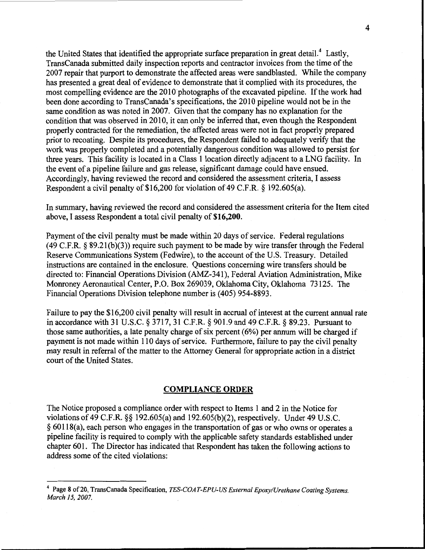the United States that identified the appropriate surface preparation in great detail.<sup>4</sup> Lastly, TransCanada submitted daily inspection reports and contractor invoices from the time of the 2007 repair that purport to demonstrate the affected areas were sandblasted. While the company has presented a great deal of evidence to demonstrate that it complied with its procedures, the most compelling evidence are the 2010'photographs of the excavated pipeline. If the work had been done according to TransCanada's specifications, the 2010 pipeline would not be in the same condition as was noted in 2007. Given that the company has no explanation for the condition that was observed in 2010, it can only be inferred that, even though the Respondent properly contracted for the remediation, the affected areas were not in fact properly prepared prior to recoating. Despite its procedures, the Respondent failed to adequately verify that the work was properly completed and a potentially dangerous condition was allowed to persist for three years. This facility is located in a Class I location directly adjacent to a LNG facility. In the event of a pipeline failure and gas release, significant damage could have ensued. Accordingly, having reviewed the record and considered the assessment criteria, I assess Respondent a civil penalty of \$16,200 for violation of 49 C.F.R. § 192.605(a).

In summary, having reviewed the record and considered the assessment criteria for the Item cited above, I assess Respondent a total civil penalty of **\$16,200.** 

Payment of the civil penalty must be made within 20 days of service. Federal regulations (49 C.P.R.§ 89.21(b)(3)) require such payment to be made by wire transfer through the Federal Reserve Communications System (Fedwire), to the account of the U.S. Treasury. Detailed instructions are contained in the enclosure. Questions concerning wire transfers should be directed to: Financial Operations Division (AMZ-341), Federal Aviation Administration, Mike Monroney Aeronautical Center, P.O. Box 269039, Oklahoma City, Oklahoma 73125. The Financial Operations Division telephone number is (405) 954-8893.

Failure to pay the \$16,200 civil penalty will result in accrual of interest at the current annual rate in accordance with 31 U.S.C. § 3717, 31 C.F.R. § 901.9 and 49 C.F.R. § 89.23. Pursuant to those same authorities, a late penalty charge of six percent  $(6%)$  per annum will be charged if payment is not made within 110 days of service. Furthermore, failure to pay the civil penalty may result in referral of the matter to the Attorney General for appropriate action in a district court of the United States.

## **COMPLIANCE ORDER**

The Notice proposed a compliance order with respect to Items 1 and 2 in the Notice for violations of 49 C.P.R. §§ 192.605(a) and 192.605(b )(2), respectively. Under 49 U.S.C. § 60118(a), each person who engages in the transportation of gas or who owns or operates a pipeline facility is required to comply with the applicable safety standards established under chapter 601. The Director has indicated that Respondent has taken the following actions to address some of the cited violations:

<sup>&</sup>lt;sup>4</sup> Page 8 of 20, TransCanada Specification, *TES-COAT-EPU-US External Epoxy/Urethane Coating Systems. March 15, 2007.*